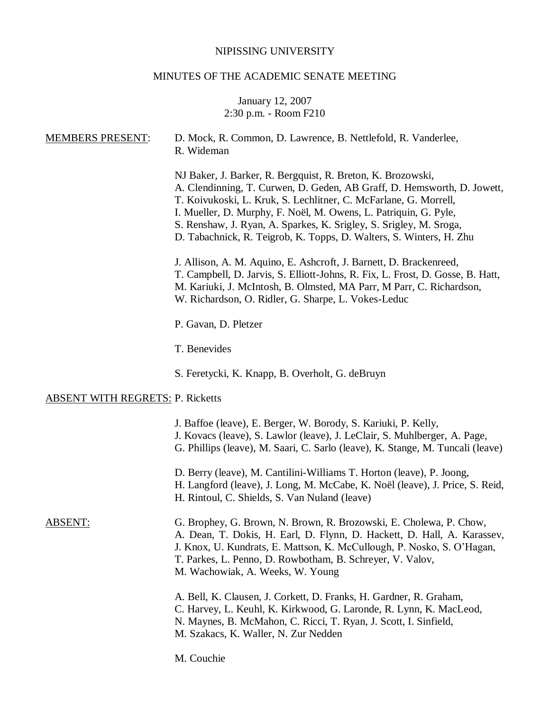# NIPISSING UNIVERSITY

# MINUTES OF THE ACADEMIC SENATE MEETING

# January 12, 2007 2:30 p.m. - Room F210

| <b>MEMBERS PRESENT:</b>                 | D. Mock, R. Common, D. Lawrence, B. Nettlefold, R. Vanderlee,<br>R. Wideman                                                                                                                                                                                                                                                                                                                                                 |  |  |  |
|-----------------------------------------|-----------------------------------------------------------------------------------------------------------------------------------------------------------------------------------------------------------------------------------------------------------------------------------------------------------------------------------------------------------------------------------------------------------------------------|--|--|--|
|                                         | NJ Baker, J. Barker, R. Bergquist, R. Breton, K. Brozowski,<br>A. Clendinning, T. Curwen, D. Geden, AB Graff, D. Hemsworth, D. Jowett,<br>T. Koivukoski, L. Kruk, S. Lechlitner, C. McFarlane, G. Morrell,<br>I. Mueller, D. Murphy, F. Noël, M. Owens, L. Patriquin, G. Pyle,<br>S. Renshaw, J. Ryan, A. Sparkes, K. Srigley, S. Srigley, M. Sroga,<br>D. Tabachnick, R. Teigrob, K. Topps, D. Walters, S. Winters, H. Zhu |  |  |  |
|                                         | J. Allison, A. M. Aquino, E. Ashcroft, J. Barnett, D. Brackenreed,<br>T. Campbell, D. Jarvis, S. Elliott-Johns, R. Fix, L. Frost, D. Gosse, B. Hatt,<br>M. Kariuki, J. McIntosh, B. Olmsted, MA Parr, M Parr, C. Richardson,<br>W. Richardson, O. Ridler, G. Sharpe, L. Vokes-Leduc                                                                                                                                         |  |  |  |
|                                         | P. Gavan, D. Pletzer                                                                                                                                                                                                                                                                                                                                                                                                        |  |  |  |
|                                         | T. Benevides                                                                                                                                                                                                                                                                                                                                                                                                                |  |  |  |
|                                         | S. Feretycki, K. Knapp, B. Overholt, G. deBruyn                                                                                                                                                                                                                                                                                                                                                                             |  |  |  |
| <b>ABSENT WITH REGRETS: P. Ricketts</b> |                                                                                                                                                                                                                                                                                                                                                                                                                             |  |  |  |
|                                         | J. Baffoe (leave), E. Berger, W. Borody, S. Kariuki, P. Kelly,<br>J. Kovacs (leave), S. Lawlor (leave), J. LeClair, S. Muhlberger, A. Page,<br>G. Phillips (leave), M. Saari, C. Sarlo (leave), K. Stange, M. Tuncali (leave)                                                                                                                                                                                               |  |  |  |
|                                         | D. Berry (leave), M. Cantilini-Williams T. Horton (leave), P. Joong,<br>H. Langford (leave), J. Long, M. McCabe, K. Noël (leave), J. Price, S. Reid,<br>H. Rintoul, C. Shields, S. Van Nuland (leave)                                                                                                                                                                                                                       |  |  |  |
| <b>ABSENT:</b>                          | G. Brophey, G. Brown, N. Brown, R. Brozowski, E. Cholewa, P. Chow,<br>A. Dean, T. Dokis, H. Earl, D. Flynn, D. Hackett, D. Hall, A. Karassev,<br>J. Knox, U. Kundrats, E. Mattson, K. McCullough, P. Nosko, S. O'Hagan,<br>T. Parkes, L. Penno, D. Rowbotham, B. Schreyer, V. Valov,<br>M. Wachowiak, A. Weeks, W. Young                                                                                                    |  |  |  |
|                                         | A. Bell, K. Clausen, J. Corkett, D. Franks, H. Gardner, R. Graham,<br>C. Harvey, L. Keuhl, K. Kirkwood, G. Laronde, R. Lynn, K. MacLeod,<br>N. Maynes, B. McMahon, C. Ricci, T. Ryan, J. Scott, I. Sinfield,<br>M. Szakacs, K. Waller, N. Zur Nedden                                                                                                                                                                        |  |  |  |
|                                         | M. Couchie                                                                                                                                                                                                                                                                                                                                                                                                                  |  |  |  |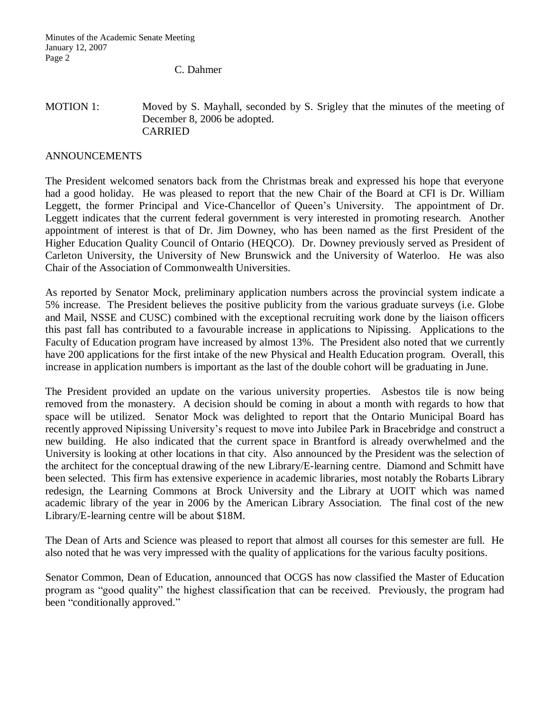C. Dahmer

#### MOTION 1: Moved by S. Mayhall, seconded by S. Srigley that the minutes of the meeting of December 8, 2006 be adopted. CARRIED

### ANNOUNCEMENTS

The President welcomed senators back from the Christmas break and expressed his hope that everyone had a good holiday. He was pleased to report that the new Chair of the Board at CFI is Dr. William Leggett, the former Principal and Vice-Chancellor of Queen's University. The appointment of Dr. Leggett indicates that the current federal government is very interested in promoting research. Another appointment of interest is that of Dr. Jim Downey, who has been named as the first President of the Higher Education Quality Council of Ontario (HEQCO). Dr. Downey previously served as President of Carleton University, the University of New Brunswick and the University of Waterloo. He was also Chair of the Association of Commonwealth Universities.

As reported by Senator Mock, preliminary application numbers across the provincial system indicate a 5% increase. The President believes the positive publicity from the various graduate surveys (i.e. Globe and Mail, NSSE and CUSC) combined with the exceptional recruiting work done by the liaison officers this past fall has contributed to a favourable increase in applications to Nipissing. Applications to the Faculty of Education program have increased by almost 13%. The President also noted that we currently have 200 applications for the first intake of the new Physical and Health Education program. Overall, this increase in application numbers is important as the last of the double cohort will be graduating in June.

The President provided an update on the various university properties. Asbestos tile is now being removed from the monastery. A decision should be coming in about a month with regards to how that space will be utilized. Senator Mock was delighted to report that the Ontario Municipal Board has recently approved Nipissing University's request to move into Jubilee Park in Bracebridge and construct a new building. He also indicated that the current space in Brantford is already overwhelmed and the University is looking at other locations in that city. Also announced by the President was the selection of the architect for the conceptual drawing of the new Library/E-learning centre. Diamond and Schmitt have been selected. This firm has extensive experience in academic libraries, most notably the Robarts Library redesign, the Learning Commons at Brock University and the Library at UOIT which was named academic library of the year in 2006 by the American Library Association. The final cost of the new Library/E-learning centre will be about \$18M.

The Dean of Arts and Science was pleased to report that almost all courses for this semester are full. He also noted that he was very impressed with the quality of applications for the various faculty positions.

Senator Common, Dean of Education, announced that OCGS has now classified the Master of Education program as "good quality" the highest classification that can be received. Previously, the program had been "conditionally approved."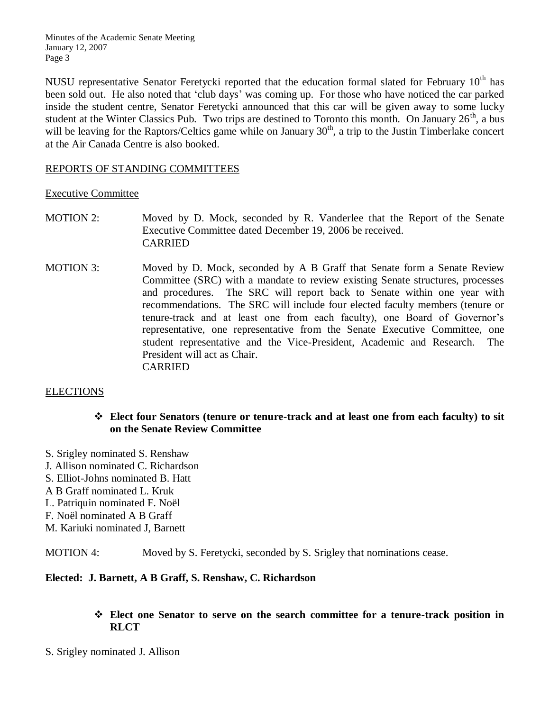NUSU representative Senator Feretycki reported that the education formal slated for February  $10<sup>th</sup>$  has been sold out. He also noted that 'club days' was coming up. For those who have noticed the car parked inside the student centre, Senator Feretycki announced that this car will be given away to some lucky student at the Winter Classics Pub. Two trips are destined to Toronto this month. On January  $26<sup>th</sup>$ , a bus will be leaving for the Raptors/Celtics game while on January  $30<sup>th</sup>$ , a trip to the Justin Timberlake concert at the Air Canada Centre is also booked.

### REPORTS OF STANDING COMMITTEES

#### Executive Committee

- MOTION 2: Moved by D. Mock, seconded by R. Vanderlee that the Report of the Senate Executive Committee dated December 19, 2006 be received. CARRIED
- MOTION 3: Moved by D. Mock, seconded by A B Graff that Senate form a Senate Review Committee (SRC) with a mandate to review existing Senate structures, processes and procedures. The SRC will report back to Senate within one year with recommendations. The SRC will include four elected faculty members (tenure or tenure-track and at least one from each faculty), one Board of Governor's representative, one representative from the Senate Executive Committee, one student representative and the Vice-President, Academic and Research. The President will act as Chair. CARRIED

#### **ELECTIONS**

#### **Elect four Senators (tenure or tenure-track and at least one from each faculty) to sit on the Senate Review Committee**

- S. Srigley nominated S. Renshaw J. Allison nominated C. Richardson
- S. Elliot-Johns nominated B. Hatt
- 
- A B Graff nominated L. Kruk
- L. Patriquin nominated F. Noël
- F. Noël nominated A B Graff
- M. Kariuki nominated J, Barnett

MOTION 4: Moved by S. Feretycki, seconded by S. Srigley that nominations cease.

#### **Elected: J. Barnett, A B Graff, S. Renshaw, C. Richardson**

## **Elect one Senator to serve on the search committee for a tenure-track position in RLCT**

S. Srigley nominated J. Allison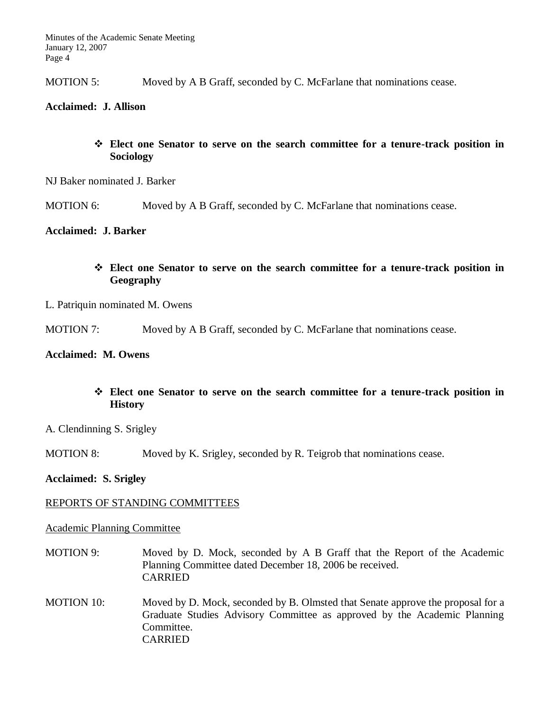MOTION 5: Moved by A B Graff, seconded by C. McFarlane that nominations cease.

### **Acclaimed: J. Allison**

## **Elect one Senator to serve on the search committee for a tenure-track position in Sociology**

NJ Baker nominated J. Barker

MOTION 6: Moved by A B Graff, seconded by C. McFarlane that nominations cease.

## **Acclaimed: J. Barker**

## **Elect one Senator to serve on the search committee for a tenure-track position in Geography**

#### L. Patriquin nominated M. Owens

MOTION 7: Moved by A B Graff, seconded by C. McFarlane that nominations cease.

#### **Acclaimed: M. Owens**

## **Elect one Senator to serve on the search committee for a tenure-track position in History**

A. Clendinning S. Srigley

MOTION 8: Moved by K. Srigley, seconded by R. Teigrob that nominations cease.

**Acclaimed: S. Srigley**

#### REPORTS OF STANDING COMMITTEES

#### Academic Planning Committee

- MOTION 9: Moved by D. Mock, seconded by A B Graff that the Report of the Academic Planning Committee dated December 18, 2006 be received. CARRIED
- MOTION 10: Moved by D. Mock, seconded by B. Olmsted that Senate approve the proposal for a Graduate Studies Advisory Committee as approved by the Academic Planning Committee. CARRIED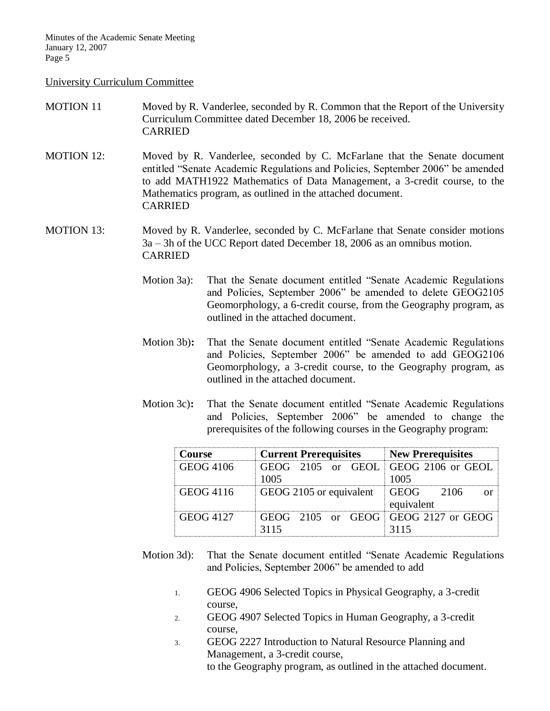#### University Curriculum Committee

- MOTION 11 Moved by R. Vanderlee, seconded by R. Common that the Report of the University Curriculum Committee dated December 18, 2006 be received. CARRIED
- MOTION 12: Moved by R. Vanderlee, seconded by C. McFarlane that the Senate document entitled "Senate Academic Regulations and Policies, September 2006" be amended to add MATH1922 Mathematics of Data Management, a 3-credit course, to the Mathematics program, as outlined in the attached document. CARRIED
- MOTION 13: Moved by R. Vanderlee, seconded by C. McFarlane that Senate consider motions 3a – 3h of the UCC Report dated December 18, 2006 as an omnibus motion. CARRIED
	- Motion 3a): That the Senate document entitled "Senate Academic Regulations and Policies, September 2006" be amended to delete GEOG2105 Geomorphology, a 6-credit course, from the Geography program, as outlined in the attached document.
	- Motion 3b)**:** That the Senate document entitled "Senate Academic Regulations and Policies, September 2006" be amended to add GEOG2106 Geomorphology, a 3-credit course, to the Geography program, as outlined in the attached document.
	- Motion 3c)**:** That the Senate document entitled "Senate Academic Regulations and Policies, September 2006" be amended to change the prerequisites of the following courses in the Geography program:

| <b>Course</b>    | <b>Current Prerequisites New Prerequisites</b> |                |
|------------------|------------------------------------------------|----------------|
| GEOG 4106        | GEOG 2105 or GEOL GEOG 2106 or GEOL            |                |
|                  | 1005                                           | 1005           |
| GEOG 4116        | GEOG 2105 or equivalent                        | I GEOG<br>2106 |
|                  |                                                | equivalent     |
| <b>GEOG 4127</b> | $GEOG$ 2105 or $GEOG$ $GEOG$ 2127 or $GEOG$    |                |
|                  | 3115                                           | 3115           |

- Motion 3d): That the Senate document entitled "Senate Academic Regulations and Policies, September 2006" be amended to add
	- 1. GEOG 4906 Selected Topics in Physical Geography, a 3-credit course,
	- 2. GEOG 4907 Selected Topics in Human Geography, a 3-credit course,
	- 3. GEOG 2227 Introduction to Natural Resource Planning and Management, a 3-credit course, to the Geography program, as outlined in the attached document.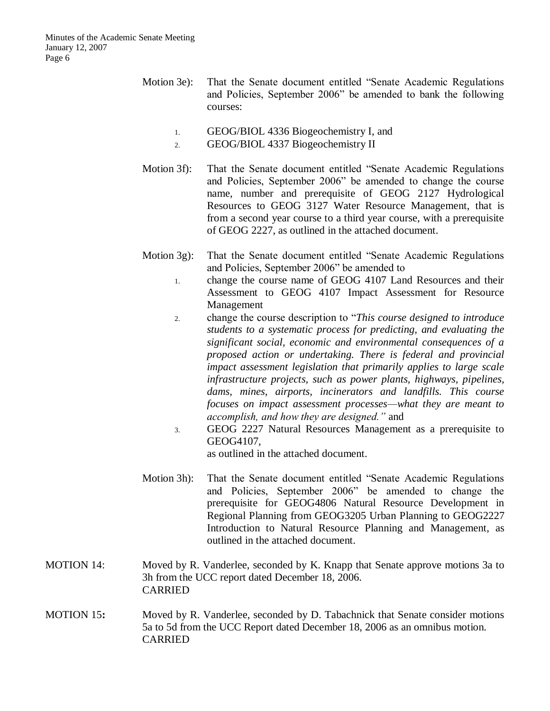- Motion 3e): That the Senate document entitled "Senate Academic Regulations and Policies, September 2006" be amended to bank the following courses:
	- 1. GEOG/BIOL 4336 Biogeochemistry I, and
	- 2. GEOG/BIOL 4337 Biogeochemistry II
- Motion 3f): That the Senate document entitled "Senate Academic Regulations and Policies, September 2006" be amended to change the course name, number and prerequisite of GEOG 2127 Hydrological Resources to GEOG 3127 Water Resource Management, that is from a second year course to a third year course, with a prerequisite of GEOG 2227, as outlined in the attached document.
- Motion 3g): That the Senate document entitled "Senate Academic Regulations and Policies, September 2006" be amended to
	- 1. change the course name of GEOG 4107 Land Resources and their Assessment to GEOG 4107 Impact Assessment for Resource Management
	- 2. change the course description to "*This course designed to introduce students to a systematic process for predicting, and evaluating the significant social, economic and environmental consequences of a proposed action or undertaking. There is federal and provincial impact assessment legislation that primarily applies to large scale infrastructure projects, such as power plants, highways, pipelines, dams, mines, airports, incinerators and landfills. This course focuses on impact assessment processes—what they are meant to accomplish, and how they are designed."* and
	- 3. GEOG 2227 Natural Resources Management as a prerequisite to GEOG4107,

as outlined in the attached document.

- Motion 3h): That the Senate document entitled "Senate Academic Regulations and Policies, September 2006" be amended to change the prerequisite for GEOG4806 Natural Resource Development in Regional Planning from GEOG3205 Urban Planning to GEOG2227 Introduction to Natural Resource Planning and Management, as outlined in the attached document.
- MOTION 14: Moved by R. Vanderlee, seconded by K. Knapp that Senate approve motions 3a to 3h from the UCC report dated December 18, 2006. CARRIED
- MOTION 15**:** Moved by R. Vanderlee, seconded by D. Tabachnick that Senate consider motions 5a to 5d from the UCC Report dated December 18, 2006 as an omnibus motion. CARRIED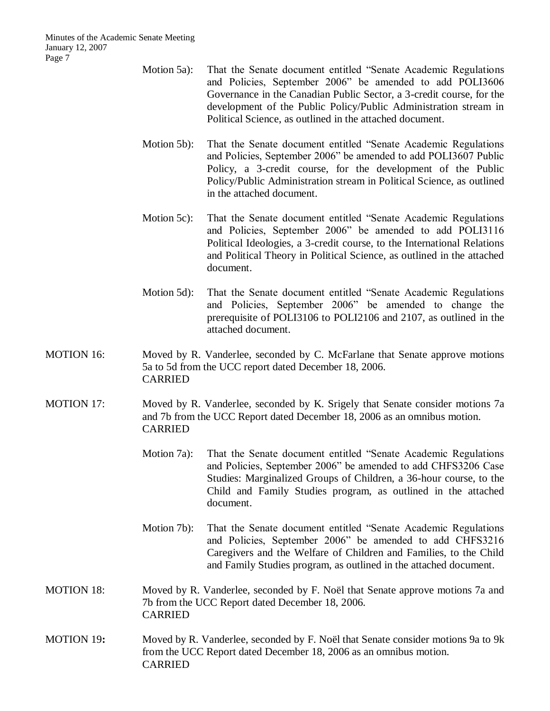- Motion 5a): That the Senate document entitled "Senate Academic Regulations and Policies, September 2006" be amended to add POLI3606 Governance in the Canadian Public Sector, a 3-credit course, for the development of the Public Policy/Public Administration stream in Political Science, as outlined in the attached document.
- Motion 5b): That the Senate document entitled "Senate Academic Regulations and Policies, September 2006" be amended to add POLI3607 Public Policy, a 3-credit course, for the development of the Public Policy/Public Administration stream in Political Science, as outlined in the attached document.
- Motion 5c): That the Senate document entitled "Senate Academic Regulations and Policies, September 2006" be amended to add POLI3116 Political Ideologies, a 3-credit course, to the International Relations and Political Theory in Political Science, as outlined in the attached document.
- Motion 5d): That the Senate document entitled "Senate Academic Regulations and Policies, September 2006" be amended to change the prerequisite of POLI3106 to POLI2106 and 2107, as outlined in the attached document.
- MOTION 16: Moved by R. Vanderlee, seconded by C. McFarlane that Senate approve motions 5a to 5d from the UCC report dated December 18, 2006. CARRIED
- MOTION 17: Moved by R. Vanderlee, seconded by K. Srigely that Senate consider motions 7a and 7b from the UCC Report dated December 18, 2006 as an omnibus motion. CARRIED
	- Motion 7a): That the Senate document entitled "Senate Academic Regulations and Policies, September 2006" be amended to add CHFS3206 Case Studies: Marginalized Groups of Children, a 36-hour course, to the Child and Family Studies program, as outlined in the attached document.
	- Motion 7b): That the Senate document entitled "Senate Academic Regulations and Policies, September 2006" be amended to add CHFS3216 Caregivers and the Welfare of Children and Families, to the Child and Family Studies program, as outlined in the attached document.
- MOTION 18: Moved by R. Vanderlee, seconded by F. Noël that Senate approve motions 7a and 7b from the UCC Report dated December 18, 2006. CARRIED
- MOTION 19**:** Moved by R. Vanderlee, seconded by F. Noël that Senate consider motions 9a to 9k from the UCC Report dated December 18, 2006 as an omnibus motion. CARRIED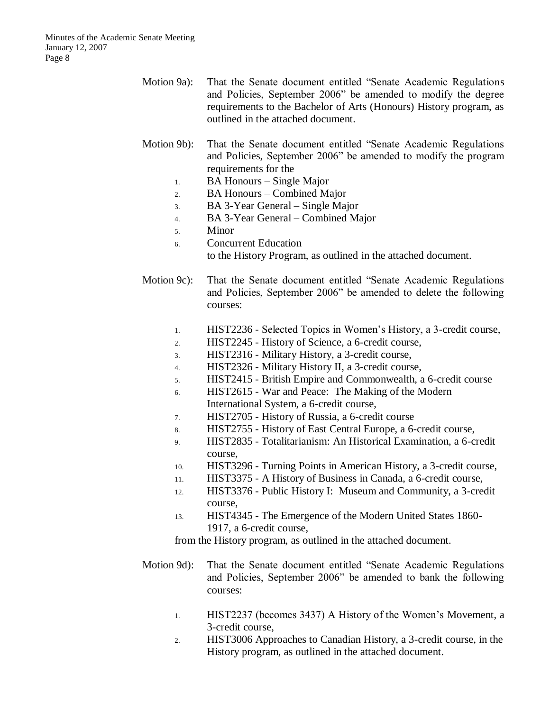- Motion 9a): That the Senate document entitled "Senate Academic Regulations and Policies, September 2006" be amended to modify the degree requirements to the Bachelor of Arts (Honours) History program, as outlined in the attached document.
- Motion 9b): That the Senate document entitled "Senate Academic Regulations and Policies, September 2006" be amended to modify the program requirements for the
	- 1. BA Honours Single Major
	- 2. BA Honours Combined Major
	- 3. BA 3-Year General Single Major
	- 4. BA 3-Year General Combined Major
	- 5. Minor
	- 6. Concurrent Education

to the History Program, as outlined in the attached document.

- Motion 9c): That the Senate document entitled "Senate Academic Regulations and Policies, September 2006" be amended to delete the following courses:
	- 1. HIST2236 Selected Topics in Women's History, a 3-credit course,
	- 2. HIST2245 History of Science, a 6-credit course,
	- 3. HIST2316 Military History, a 3-credit course,
	- 4. HIST2326 Military History II, a 3-credit course,
	- 5. HIST2415 British Empire and Commonwealth, a 6-credit course
	- 6. HIST2615 War and Peace: The Making of the Modern International System, a 6-credit course,
	- 7. HIST2705 History of Russia, a 6-credit course
	- 8. HIST2755 History of East Central Europe, a 6-credit course,
	- 9. HIST2835 Totalitarianism: An Historical Examination, a 6-credit course,
	- 10. HIST3296 Turning Points in American History, a 3-credit course,
	- 11. HIST3375 A History of Business in Canada, a 6-credit course,
	- 12. HIST3376 Public History I: Museum and Community, a 3-credit course,
	- 13. HIST4345 The Emergence of the Modern United States 1860- 1917, a 6-credit course,

from the History program, as outlined in the attached document.

- Motion 9d): That the Senate document entitled "Senate Academic Regulations and Policies, September 2006" be amended to bank the following courses:
	- 1. HIST2237 (becomes 3437) A History of the Women's Movement, a 3-credit course,
	- 2. HIST3006 Approaches to Canadian History, a 3-credit course, in the History program, as outlined in the attached document.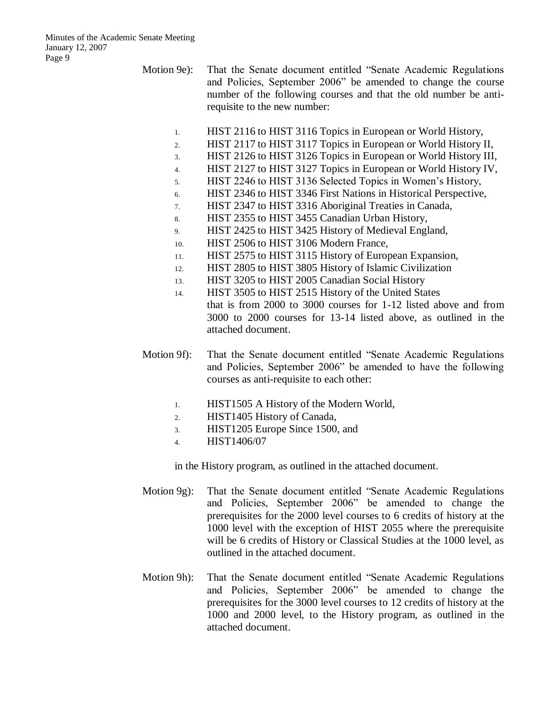Motion 9e): That the Senate document entitled "Senate Academic Regulations and Policies, September 2006" be amended to change the course number of the following courses and that the old number be antirequisite to the new number:

- 1. HIST 2116 to HIST 3116 Topics in European or World History,
- 2. HIST 2117 to HIST 3117 Topics in European or World History II,
- 3. HIST 2126 to HIST 3126 Topics in European or World History III,
- 4. HIST 2127 to HIST 3127 Topics in European or World History IV,
- 5. HIST 2246 to HIST 3136 Selected Topics in Women's History,
- 6. HIST 2346 to HIST 3346 First Nations in Historical Perspective,
- 7. HIST 2347 to HIST 3316 Aboriginal Treaties in Canada,
- 8. HIST 2355 to HIST 3455 Canadian Urban History,
- 9. HIST 2425 to HIST 3425 History of Medieval England,
- 10. HIST 2506 to HIST 3106 Modern France,
- 11. HIST 2575 to HIST 3115 History of European Expansion,
- 12. HIST 2805 to HIST 3805 History of Islamic Civilization
- 13. HIST 3205 to HIST 2005 Canadian Social History
- 14. HIST 3505 to HIST 2515 History of the United States that is from 2000 to 3000 courses for 1-12 listed above and from 3000 to 2000 courses for 13-14 listed above, as outlined in the attached document.
- Motion 9f): That the Senate document entitled "Senate Academic Regulations and Policies, September 2006" be amended to have the following courses as anti-requisite to each other:
	- 1. HIST1505 A History of the Modern World,
	- 2. HIST1405 History of Canada,
	- 3. HIST1205 Europe Since 1500, and
	- 4. HIST1406/07

in the History program, as outlined in the attached document.

- Motion 9g): That the Senate document entitled "Senate Academic Regulations and Policies, September 2006" be amended to change the prerequisites for the 2000 level courses to 6 credits of history at the 1000 level with the exception of HIST 2055 where the prerequisite will be 6 credits of History or Classical Studies at the 1000 level, as outlined in the attached document.
- Motion 9h): That the Senate document entitled "Senate Academic Regulations and Policies, September 2006" be amended to change the prerequisites for the 3000 level courses to 12 credits of history at the 1000 and 2000 level, to the History program, as outlined in the attached document.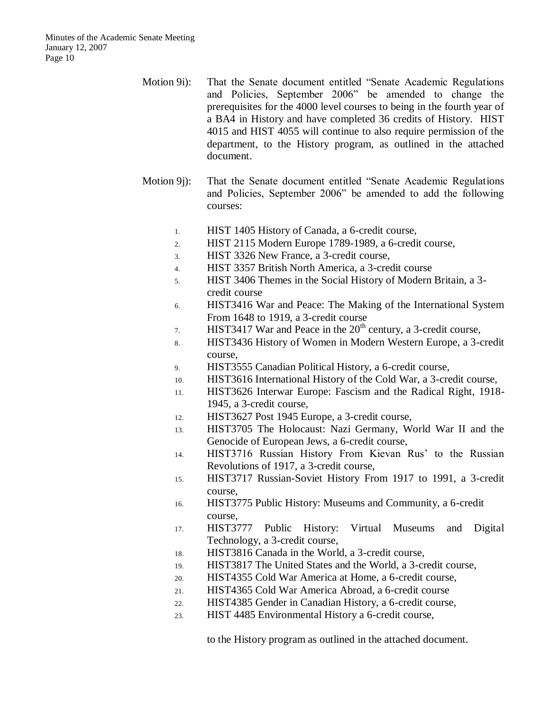- Motion 9i): That the Senate document entitled "Senate Academic Regulations and Policies, September 2006" be amended to change the prerequisites for the 4000 level courses to being in the fourth year of a BA4 in History and have completed 36 credits of History. HIST 4015 and HIST 4055 will continue to also require permission of the department, to the History program, as outlined in the attached document.
- Motion 9j): That the Senate document entitled "Senate Academic Regulations and Policies, September 2006" be amended to add the following courses:
	- 1. HIST 1405 History of Canada, a 6-credit course,
	- 2. HIST 2115 Modern Europe 1789-1989, a 6-credit course,
	- 3. HIST 3326 New France, a 3-credit course,
	- 4. HIST 3357 British North America, a 3-credit course
	- 5. HIST 3406 Themes in the Social History of Modern Britain, a 3 credit course
	- 6. HIST3416 War and Peace: The Making of the International System From 1648 to 1919, a 3-credit course
	- 7. HIST3417 War and Peace in the  $20<sup>th</sup>$  century, a 3-credit course,
	- 8. HIST3436 History of Women in Modern Western Europe, a 3-credit course,
	- 9. HIST3555 Canadian Political History, a 6-credit course,
	- 10. HIST3616 International History of the Cold War, a 3-credit course,
	- 11. HIST3626 Interwar Europe: Fascism and the Radical Right, 1918- 1945, a 3-credit course,
	- 12. HIST3627 Post 1945 Europe, a 3-credit course,
	- 13. HIST3705 The Holocaust: Nazi Germany, World War II and the Genocide of European Jews, a 6-credit course,
	- 14. HIST3716 Russian History From Kievan Rus' to the Russian Revolutions of 1917, a 3-credit course,
	- 15. HIST3717 Russian-Soviet History From 1917 to 1991, a 3-credit course,
	- 16. HIST3775 Public History: Museums and Community, a 6-credit course,
	- 17. HIST3777 Public History: Virtual Museums and Digital Technology, a 3-credit course,
	- 18. HIST3816 Canada in the World, a 3-credit course,
	- 19. HIST3817 The United States and the World, a 3-credit course,
	- 20. HIST4355 Cold War America at Home, a 6-credit course,
	- 21. HIST4365 Cold War America Abroad, a 6-credit course
	- 22. HIST4385 Gender in Canadian History, a 6-credit course,
	- 23. HIST 4485 Environmental History a 6-credit course,

to the History program as outlined in the attached document.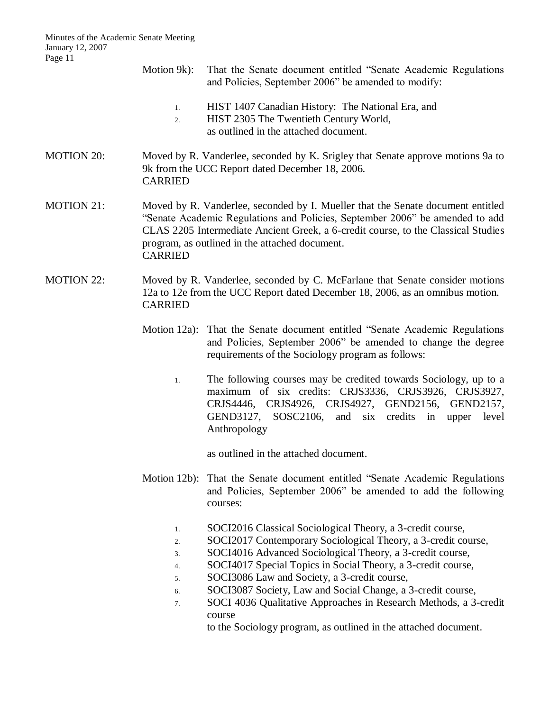Minutes of the Academic Senate Meeting January 12, 2007 Page 11 Motion 9k): That the Senate document entitled "Senate Academic Regulations and Policies, September 2006" be amended to modify: 1. HIST 1407 Canadian History: The National Era, and 2. HIST 2305 The Twentieth Century World, as outlined in the attached document. MOTION 20: Moved by R. Vanderlee, seconded by K. Srigley that Senate approve motions 9a to 9k from the UCC Report dated December 18, 2006. CARRIED MOTION 21: Moved by R. Vanderlee, seconded by I. Mueller that the Senate document entitled "Senate Academic Regulations and Policies, September 2006" be amended to add CLAS 2205 Intermediate Ancient Greek, a 6-credit course, to the Classical Studies program, as outlined in the attached document. CARRIED MOTION 22: Moved by R. Vanderlee, seconded by C. McFarlane that Senate consider motions 12a to 12e from the UCC Report dated December 18, 2006, as an omnibus motion. CARRIED Motion 12a): That the Senate document entitled "Senate Academic Regulations and Policies, September 2006" be amended to change the degree requirements of the Sociology program as follows: 1. The following courses may be credited towards Sociology, up to a maximum of six credits: CRJS3336, CRJS3926, CRJS3927, CRJS4446, CRJS4926, CRJS4927, GEND2156, GEND2157, GEND3127, SOSC2106, and six credits in upper level Anthropology as outlined in the attached document. Motion 12b): That the Senate document entitled "Senate Academic Regulations and Policies, September 2006" be amended to add the following courses: 1. SOCI2016 Classical Sociological Theory, a 3-credit course, 2. SOCI2017 Contemporary Sociological Theory, a 3-credit course, 3. SOCI4016 Advanced Sociological Theory, a 3-credit course, 4. SOCI4017 Special Topics in Social Theory, a 3-credit course, 5. SOCI3086 Law and Society, a 3-credit course, 6. SOCI3087 Society, Law and Social Change, a 3-credit course, 7. SOCI 4036 Qualitative Approaches in Research Methods, a 3-credit course to the Sociology program, as outlined in the attached document.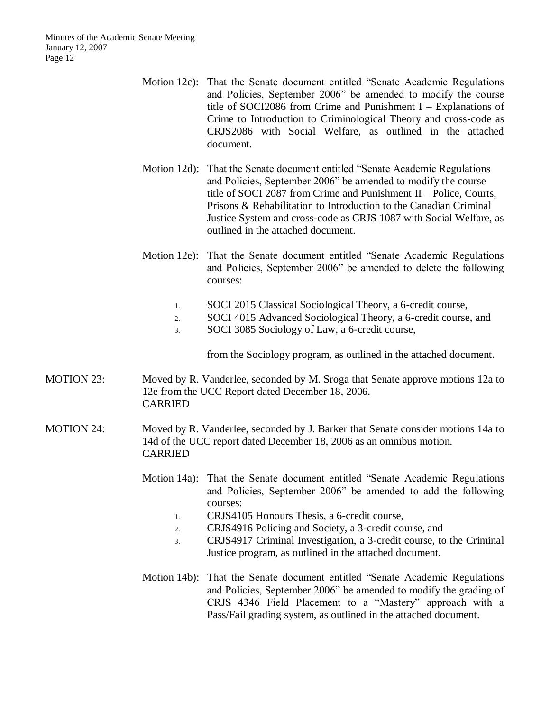- Motion 12c): That the Senate document entitled "Senate Academic Regulations and Policies, September 2006" be amended to modify the course title of SOCI2086 from Crime and Punishment I – Explanations of Crime to Introduction to Criminological Theory and cross-code as CRJS2086 with Social Welfare, as outlined in the attached document.
- Motion 12d): That the Senate document entitled "Senate Academic Regulations and Policies, September 2006" be amended to modify the course title of SOCI 2087 from Crime and Punishment II – Police, Courts, Prisons & Rehabilitation to Introduction to the Canadian Criminal Justice System and cross-code as CRJS 1087 with Social Welfare, as outlined in the attached document.
- Motion 12e): That the Senate document entitled "Senate Academic Regulations and Policies, September 2006" be amended to delete the following courses:
	- 1. SOCI 2015 Classical Sociological Theory, a 6-credit course,
	- 2. SOCI 4015 Advanced Sociological Theory, a 6-credit course, and
	- 3. SOCI 3085 Sociology of Law, a 6-credit course,

from the Sociology program, as outlined in the attached document.

- MOTION 23: Moved by R. Vanderlee, seconded by M. Sroga that Senate approve motions 12a to 12e from the UCC Report dated December 18, 2006. CARRIED
- MOTION 24: Moved by R. Vanderlee, seconded by J. Barker that Senate consider motions 14a to 14d of the UCC report dated December 18, 2006 as an omnibus motion. CARRIED
	- Motion 14a): That the Senate document entitled "Senate Academic Regulations and Policies, September 2006" be amended to add the following courses:
		- 1. CRJS4105 Honours Thesis, a 6-credit course,
		- 2. CRJS4916 Policing and Society, a 3-credit course, and
		- 3. CRJS4917 Criminal Investigation, a 3-credit course, to the Criminal Justice program, as outlined in the attached document.
	- Motion 14b): That the Senate document entitled "Senate Academic Regulations and Policies, September 2006" be amended to modify the grading of CRJS 4346 Field Placement to a "Mastery" approach with a Pass/Fail grading system, as outlined in the attached document.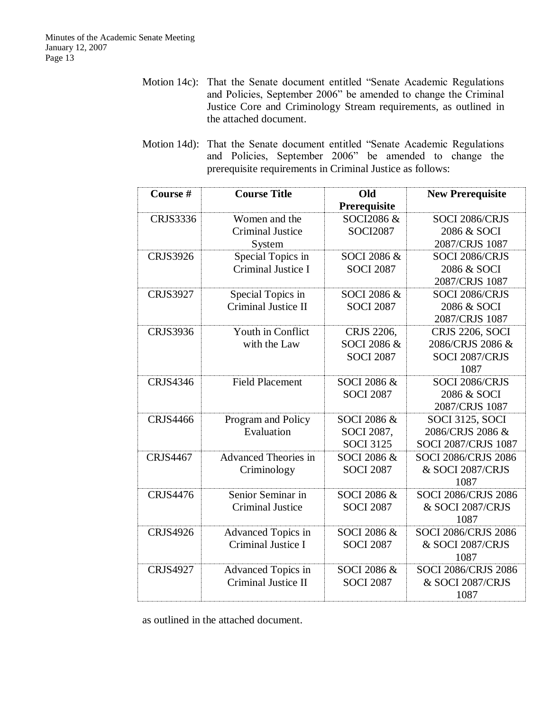- Motion 14c): That the Senate document entitled "Senate Academic Regulations and Policies, September 2006" be amended to change the Criminal Justice Core and Criminology Stream requirements, as outlined in the attached document.
- Motion 14d): That the Senate document entitled "Senate Academic Regulations and Policies, September 2006" be amended to change the prerequisite requirements in Criminal Justice as follows:

| Course #        | <b>Course Title</b>         | Old<br>Prerequisite | <b>New Prerequisite</b>    |
|-----------------|-----------------------------|---------------------|----------------------------|
| <b>CRJS3336</b> | Women and the               | SOCI2086 &          | SOCI 2086/CRJS             |
|                 | <b>Criminal Justice</b>     | <b>SOCI2087</b>     | 2086 & SOCI                |
|                 | System                      |                     | 2087/CRJS 1087             |
| <b>CRJS3926</b> | Special Topics in           | SOCI 2086 &         | SOCI 2086/CRJS             |
|                 | Criminal Justice I          | <b>SOCI 2087</b>    | 2086 & SOCI                |
|                 |                             |                     | 2087/CRJS 1087             |
| <b>CRJS3927</b> | Special Topics in           | SOCI 2086 &         | SOCI 2086/CRJS             |
|                 | Criminal Justice II         | <b>SOCI 2087</b>    | 2086 & SOCI                |
|                 |                             |                     | 2087/CRJS 1087             |
| <b>CRJS3936</b> | Youth in Conflict           | CRJS 2206,          | <b>CRJS 2206, SOCI</b>     |
|                 | with the Law                | SOCI 2086 &         | 2086/CRJS 2086 &           |
|                 |                             | <b>SOCI 2087</b>    | SOCI 2087/CRJS             |
|                 |                             |                     | 1087                       |
| <b>CRJS4346</b> | <b>Field Placement</b>      | SOCI 2086 &         | SOCI 2086/CRJS             |
|                 |                             | <b>SOCI 2087</b>    | 2086 & SOCI                |
|                 |                             |                     | 2087/CRJS 1087             |
| <b>CRJS4466</b> | Program and Policy          | SOCI 2086 &         | <b>SOCI 3125, SOCI</b>     |
|                 | Evaluation                  | SOCI 2087,          | 2086/CRJS 2086 &           |
|                 |                             | <b>SOCI 3125</b>    | <b>SOCI 2087/CRJS 1087</b> |
| <b>CRJS4467</b> | <b>Advanced Theories in</b> | SOCI 2086 &         | <b>SOCI 2086/CRJS 2086</b> |
|                 | Criminology                 | <b>SOCI 2087</b>    | & SOCI 2087/CRJS           |
|                 |                             |                     | 1087                       |
| <b>CRJS4476</b> | Senior Seminar in           | SOCI 2086 &         | <b>SOCI 2086/CRJS 2086</b> |
|                 | <b>Criminal Justice</b>     | <b>SOCI 2087</b>    | & SOCI 2087/CRJS           |
|                 |                             |                     | 1087                       |
| <b>CRJS4926</b> | Advanced Topics in          | SOCI 2086 &         | <b>SOCI 2086/CRJS 2086</b> |
|                 | Criminal Justice I          | <b>SOCI 2087</b>    | & SOCI 2087/CRJS           |
|                 |                             |                     | 1087                       |
| <b>CRJS4927</b> | <b>Advanced Topics in</b>   | SOCI 2086 &         | <b>SOCI 2086/CRJS 2086</b> |
|                 | Criminal Justice II         | <b>SOCI 2087</b>    | & SOCI 2087/CRJS           |
|                 |                             |                     | 1087                       |

as outlined in the attached document.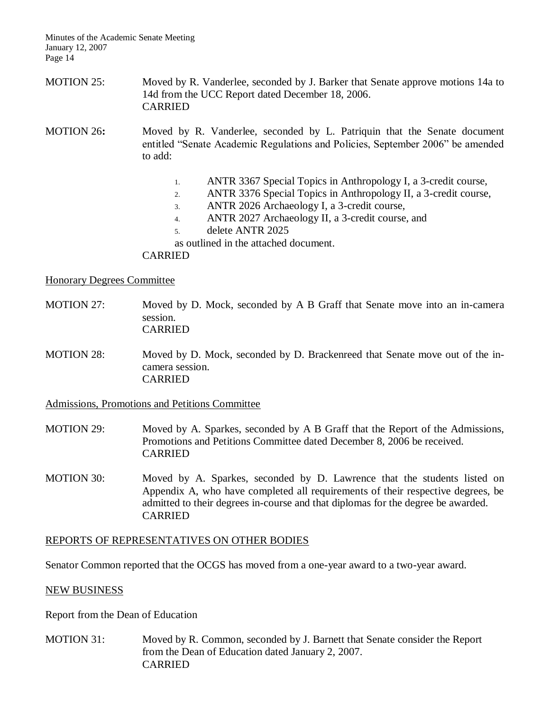MOTION 25: Moved by R. Vanderlee, seconded by J. Barker that Senate approve motions 14a to 14d from the UCC Report dated December 18, 2006. CARRIED

MOTION 26**:** Moved by R. Vanderlee, seconded by L. Patriquin that the Senate document entitled "Senate Academic Regulations and Policies, September 2006" be amended to add:

- 1. ANTR 3367 Special Topics in Anthropology I, a 3-credit course,
- 2. ANTR 3376 Special Topics in Anthropology II, a 3-credit course,
- 3. ANTR 2026 Archaeology I, a 3-credit course,
- 4. ANTR 2027 Archaeology II, a 3-credit course, and
- 5. delete ANTR 2025
- as outlined in the attached document.

#### CARRIED

#### Honorary Degrees Committee

- MOTION 27: Moved by D. Mock, seconded by A B Graff that Senate move into an in-camera session. CARRIED
- MOTION 28: Moved by D. Mock, seconded by D. Brackenreed that Senate move out of the incamera session. CARRIED

#### Admissions, Promotions and Petitions Committee

- MOTION 29: Moved by A. Sparkes, seconded by A B Graff that the Report of the Admissions, Promotions and Petitions Committee dated December 8, 2006 be received. CARRIED
- MOTION 30: Moved by A. Sparkes, seconded by D. Lawrence that the students listed on Appendix A, who have completed all requirements of their respective degrees, be admitted to their degrees in-course and that diplomas for the degree be awarded. CARRIED

#### REPORTS OF REPRESENTATIVES ON OTHER BODIES

Senator Common reported that the OCGS has moved from a one-year award to a two-year award.

#### NEW BUSINESS

Report from the Dean of Education

MOTION 31: Moved by R. Common, seconded by J. Barnett that Senate consider the Report from the Dean of Education dated January 2, 2007. CARRIED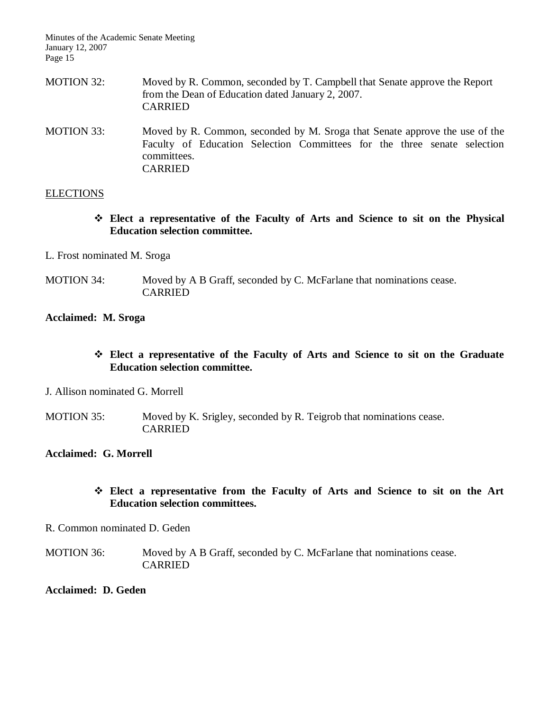- MOTION 32: Moved by R. Common, seconded by T. Campbell that Senate approve the Report from the Dean of Education dated January 2, 2007. CARRIED
- MOTION 33: Moved by R. Common, seconded by M. Sroga that Senate approve the use of the Faculty of Education Selection Committees for the three senate selection committees. CARRIED

#### **ELECTIONS**

- **Elect a representative of the Faculty of Arts and Science to sit on the Physical Education selection committee.**
- L. Frost nominated M. Sroga
- MOTION 34: Moved by A B Graff, seconded by C. McFarlane that nominations cease. CARRIED

#### **Acclaimed: M. Sroga**

- **Elect a representative of the Faculty of Arts and Science to sit on the Graduate Education selection committee.**
- J. Allison nominated G. Morrell
- MOTION 35: Moved by K. Srigley, seconded by R. Teigrob that nominations cease. CARRIED

#### **Acclaimed: G. Morrell**

## **Elect a representative from the Faculty of Arts and Science to sit on the Art Education selection committees.**

- R. Common nominated D. Geden
- MOTION 36: Moved by A B Graff, seconded by C. McFarlane that nominations cease. CARRIED

#### **Acclaimed: D. Geden**